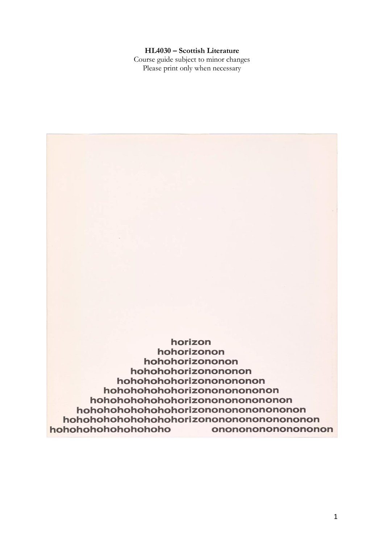## **HL4030 – Scottish Literature**

Course guide subject to minor changes Please print only when necessary

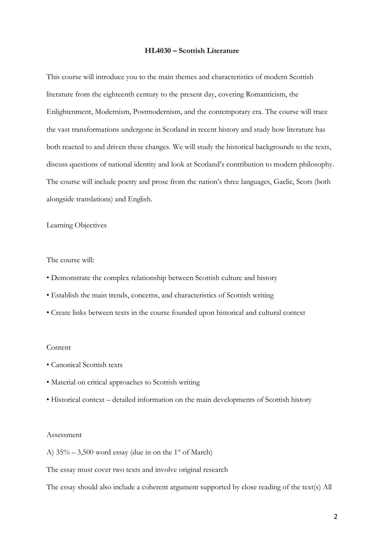#### **HL4030 – Scottish Literature**

This course will introduce you to the main themes and characteristics of modern Scottish literature from the eighteenth century to the present day, covering Romanticism, the Enlightenment, Modernism, Postmodernism, and the contemporary era. The course will trace the vast transformations undergone in Scotland in recent history and study how literature has both reacted to and driven these changes. We will study the historical backgrounds to the texts, discuss questions of national identity and look at Scotland's contribution to modern philosophy. The course will include poetry and prose from the nation's three languages, Gaelic, Scots (both alongside translations) and English.

Learning Objectives

The course will:

- Demonstrate the complex relationship between Scottish culture and history
- Establish the main trends, concerns, and characteristics of Scottish writing
- Create links between texts in the course founded upon historical and cultural context

#### Content

- Canonical Scottish texts
- Material on critical approaches to Scottish writing
- Historical context detailed information on the main developments of Scottish history

#### Assessment

A)  $35\% - 3,500$  word essay (due in on the 1<sup>st</sup> of March)

The essay must cover two texts and involve original research

The essay should also include a coherent argument supported by close reading of the text(s) All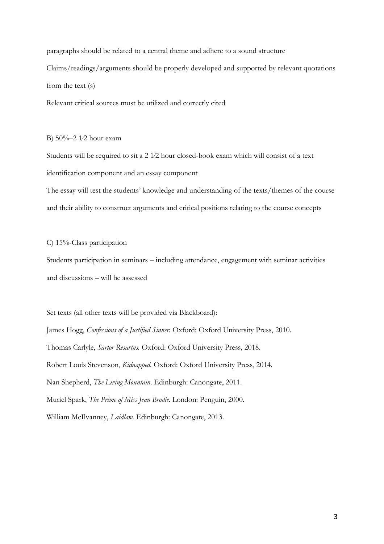paragraphs should be related to a central theme and adhere to a sound structure Claims/readings/arguments should be properly developed and supported by relevant quotations from the text (s)

Relevant critical sources must be utilized and correctly cited

B) 50%–2 1⁄2 hour exam

Students will be required to sit a 2 1⁄2 hour closed-book exam which will consist of a text identification component and an essay component

The essay will test the students' knowledge and understanding of the texts/themes of the course and their ability to construct arguments and critical positions relating to the course concepts

C) 15%-Class participation

Students participation in seminars – including attendance, engagement with seminar activities and discussions – will be assessed

Set texts (all other texts will be provided via Blackboard):

James Hogg, *Confessions of a Justified Sinner.* Oxford: Oxford University Press, 2010.

Thomas Carlyle, *Sartor Resartus.* Oxford: Oxford University Press, 2018.

Robert Louis Stevenson, *Kidnapped.* Oxford: Oxford University Press, 2014.

Nan Shepherd, *The Living Mountain*. Edinburgh: Canongate, 2011.

Muriel Spark, *The Prime of Miss Jean Brodie*. London: Penguin, 2000.

William McIlvanney, *Laidlaw.* Edinburgh: Canongate, 2013.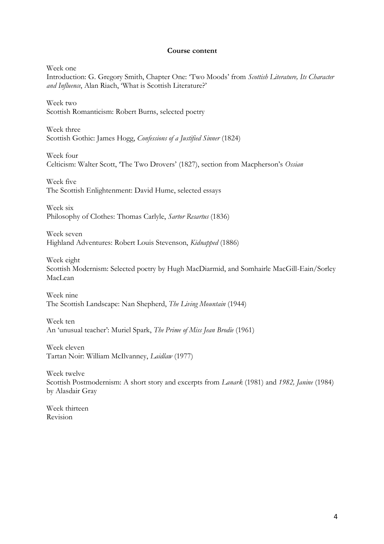#### **Course content**

Week one

Introduction: G. Gregory Smith, Chapter One: 'Two Moods' from *Scottish Literature, Its Character and Influence*, Alan Riach, 'What is Scottish Literature?'

Week two Scottish Romanticism: Robert Burns, selected poetry

Week three Scottish Gothic: James Hogg, *Confessions of a Justified Sinner* (1824)

Week four Celticism: Walter Scott, 'The Two Drovers' (1827), section from Macpherson's *Ossian*

Week five The Scottish Enlightenment: David Hume, selected essays

Week six Philosophy of Clothes: Thomas Carlyle, *Sartor Resartus* (1836)

Week seven Highland Adventures: Robert Louis Stevenson, *Kidnapped* (1886)

Week eight Scottish Modernism: Selected poetry by Hugh MacDiarmid, and Somhairle MacGill-Eain/Sorley MacLean

Week nine The Scottish Landscape: Nan Shepherd, *The Living Mountain* (1944)

Week ten An 'unusual teacher': Muriel Spark, *The Prime of Miss Jean Brodie* (1961)

Week eleven Tartan Noir: William McIlvanney, *Laidlaw* (1977)

Week twelve Scottish Postmodernism: A short story and excerpts from *Lanark* (1981) and *1982, Janine* (1984) by Alasdair Gray

Week thirteen Revision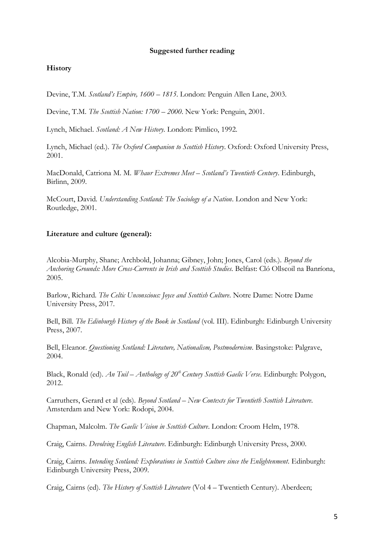## **Suggested further reading**

# **History**

Devine, T.M. *Scotland's Empire, 1600 – 1815*. London: Penguin Allen Lane, 2003.

Devine, T.M. *The Scottish Nation: 1700 – 2000*. New York: Penguin, 2001.

Lynch, Michael. *Scotland: A New History*. London: Pimlico, 1992.

Lynch, Michael (ed.). *The Oxford Companion to Scottish History*. Oxford: Oxford University Press, 2001.

MacDonald, Catriona M. M. *Whaur Extremes Meet – Scotland's Twentieth Century*. Edinburgh, Birlinn, 2009.

McCourt, David. *Understanding Scotland: The Sociology of a Nation*. London and New York: Routledge, 2001.

## **Literature and culture (general):**

Alcobia-Murphy, Shane; Archbold, Johanna; Gibney, John; Jones, Carol (eds.). *Beyond the Anchoring Grounds: More Cross-Currents in Irish and Scottish Studies*. Belfast: Cló Ollscoil na Banríona, 2005.

Barlow, Richard. *The Celtic Unconscious: Joyce and Scottish Culture*. Notre Dame: Notre Dame University Press, 2017.

Bell, Bill. *The Edinburgh History of the Book in Scotland* (vol. III). Edinburgh: Edinburgh University Press, 2007.

Bell, Eleanor. *Questioning Scotland: Literature, Nationalism, Postmodernism*. Basingstoke: Palgrave, 2004.

Black, Ronald (ed). *An Tuil – Anthology of 20th Century Scottish Gaelic Verse*. Edinburgh: Polygon, 2012.

Carruthers, Gerard et al (eds). *Beyond Scotland – New Contexts for Twentieth Scottish Literature*. Amsterdam and New York: Rodopi, 2004.

Chapman, Malcolm. *The Gaelic Vision in Scottish Culture*. London: Croom Helm, 1978.

Craig, Cairns. *Devolving English Literature*. Edinburgh: Edinburgh University Press, 2000.

Craig, Cairns. *Intending Scotland: Explorations in Scottish Culture since the Enlightenment*. Edinburgh: Edinburgh University Press, 2009.

Craig, Cairns (ed). *The History of Scottish Literature* (Vol 4 – Twentieth Century). Aberdeen;